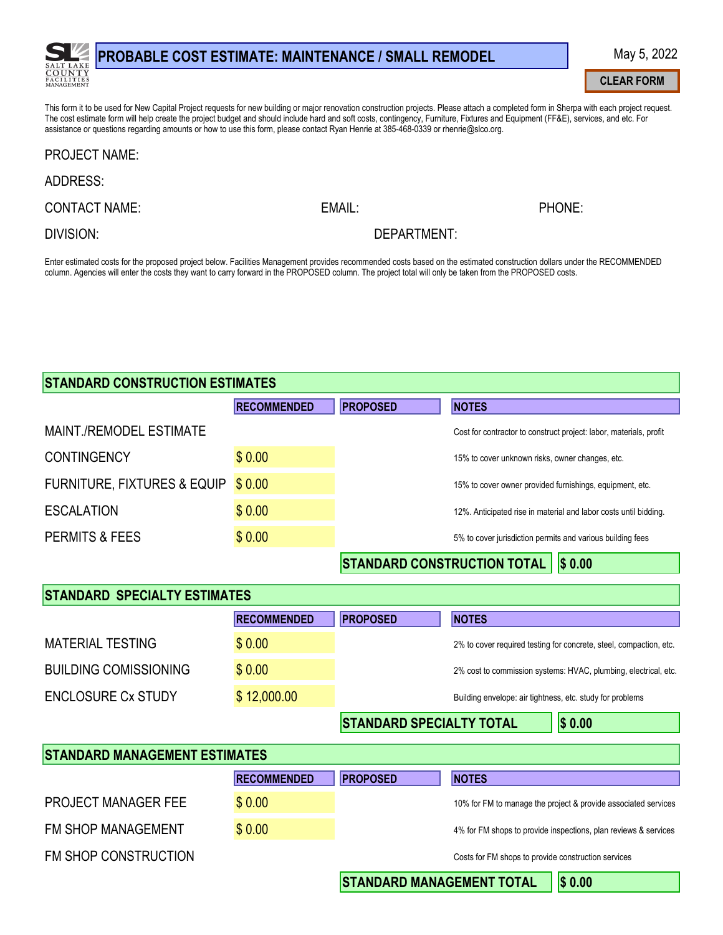

# PROBABLE COST ESTIMATE: MAINTENANCE / SMALL REMODEL

#### This form it to be used for New Capital Project requests for new building or major renovation construction projects. Please attach a completed form in Sherpa with each project request. The cost estimate form will help create the project budget and should include hard and soft costs, contingency, Furniture, Fixtures and Equipment (FF&E), services, and etc. For assistance or questions regarding amounts or how to use this form, please contact Ryan Henrie at 385-468-0339 or rhenrie@slco.org.

#### **PROJECT NAME:**

### **ADDRESS:**

**CONTACT NAME:** 

EMAIL:

PHONE:

**DIVISION:** 

DEPARTMENT:

Enter estimated costs for the proposed project below. Facilities Management provides recommended costs based on the estimated construction dollars under the RECOMMENDED column. Agencies will enter the costs they want to carry forward in the PROPOSED column. The project total will only be taken from the PROPOSED costs.

# **STANDARD CONSTRUCTION ESTIMATES**

|                                        | <b>RECOMMENDED</b> | <b>PROPOSED</b> | <b>NOTES</b>                                                       |
|----------------------------------------|--------------------|-----------------|--------------------------------------------------------------------|
| MAINT./REMODEL ESTIMATE                |                    |                 | Cost for contractor to construct project: labor, materials, profit |
| <b>CONTINGENCY</b>                     | \$0.00             |                 | 15% to cover unknown risks, owner changes, etc.                    |
| <b>FURNITURE, FIXTURES &amp; EQUIP</b> | \$0.00             |                 | 15% to cover owner provided furnishings, equipment, etc.           |
| <b>ESCALATION</b>                      | \$0.00             |                 | 12%. Anticipated rise in material and labor costs until bidding.   |
| PERMITS & FEES                         | \$0.00             |                 | 5% to cover jurisdiction permits and various building fees         |
|                                        |                    |                 | . ___ <b>.</b> __ <b>.</b> _ <b>.</b> _                            |

 $|\text{STANDARD CONSTRUCTION TOTAL}|$  \$ 0.00

| <b>STANDARD SPECIALTY ESTIMATES</b> |                    |                                 |                                                                    |
|-------------------------------------|--------------------|---------------------------------|--------------------------------------------------------------------|
|                                     | <b>RECOMMENDED</b> | <b>PROPOSED</b>                 | <b>NOTES</b>                                                       |
| <b>MATERIAL TESTING</b>             | \$0.00             |                                 | 2% to cover required testing for concrete, steel, compaction, etc. |
| <b>BUILDING COMISSIONING</b>        | \$0.00             |                                 | 2% cost to commission systems: HVAC, plumbing, electrical, etc.    |
| <b>ENCLOSURE Cx STUDY</b>           | \$12,000.00        |                                 | Building envelope: air tightness, etc. study for problems          |
|                                     |                    | <b>STANDARD SPECIALTY TOTAL</b> | \$0.00                                                             |

| <b>STANDARD MANAGEMENT ESTIMATES</b> |                    |                                  |                                                                 |
|--------------------------------------|--------------------|----------------------------------|-----------------------------------------------------------------|
|                                      | <b>RECOMMENDED</b> | <b>PROPOSED</b>                  | <b>NOTES</b>                                                    |
| <b>PROJECT MANAGER FEE</b>           | \$0.00             |                                  | 10% for FM to manage the project & provide associated services  |
| <b>FM SHOP MANAGEMENT</b>            | \$0.00             |                                  | 4% for FM shops to provide inspections, plan reviews & services |
| FM SHOP CONSTRUCTION                 |                    |                                  | Costs for FM shops to provide construction services             |
|                                      |                    | <b>STANDARD MANAGEMENT TOTAL</b> | \$0.00                                                          |

## **STANDARD MANAGEMENT TOTAL**

**CLEAR FORM**